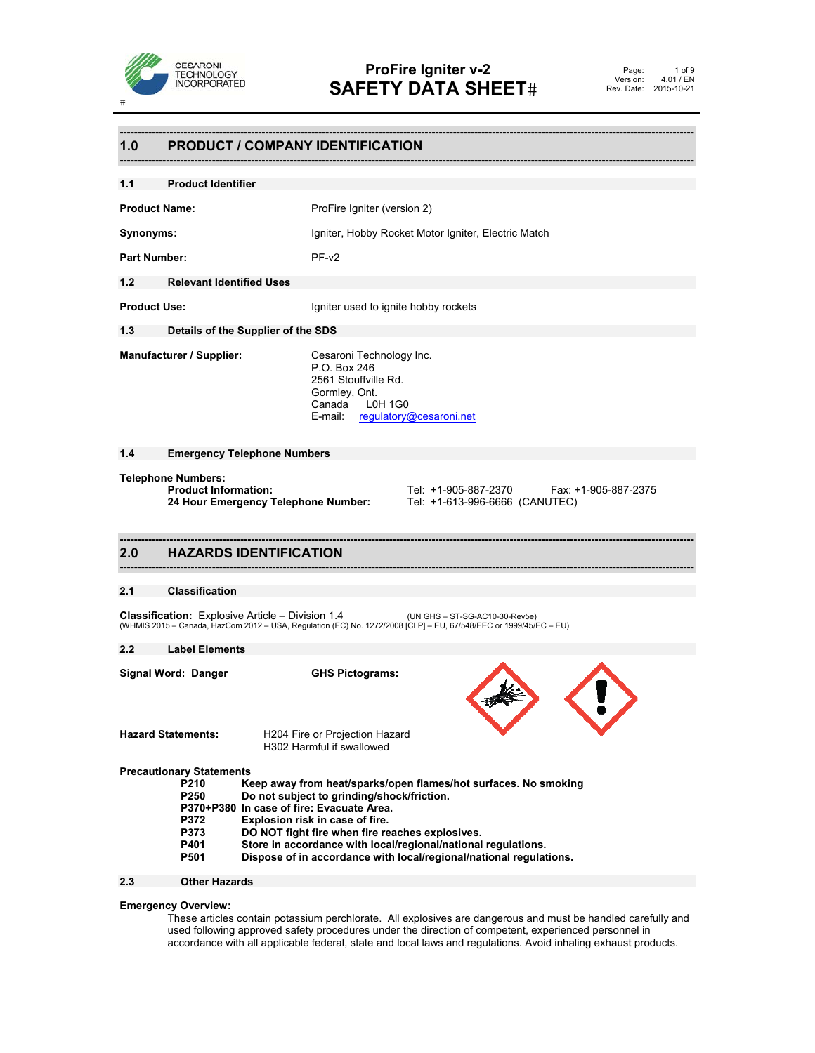

# **------------------------------------------------------------------------------------------------------------------------------------------------------------------ 1.0 PRODUCT / COMPANY IDENTIFICATION ------------------------------------------------------------------------------------------------------------------------------------------------------------------ 1.1 Product Identifier Product Name:** ProFire Igniter (version 2) **Synonyms:** Igniter, Hobby Rocket Motor Igniter, Electric Match Part Number: PF-v2 **1.2 Relevant Identified Uses Product Use:** Igniter used to ignite hobby rockets **1.3 Details of the Supplier of the SDS Manufacturer / Supplier:** Cesaroni Technology Inc. P.O. Box 246 2561 Stouffville Rd. Gormley, Ont. Canada L0H 1G0 E-mail: regulatory@cesaroni.net **1.4 Emergency Telephone Numbers Telephone Numbers: Product Information:** Tel: +1-905-887-2370 Fax: +1-905-887-2375<br>**24 Hour Emergency Telephone Number:** Tel: +1-613-996-6666 (CANUTEC) **24 Hour Emergency Telephone Number: ------------------------------------------------------------------------------------------------------------------------------------------------------------------ 2.0 HAZARDS IDENTIFICATION ------------------------------------------------------------------------------------------------------------------------------------------------------------------ 2.1 Classification Classification:** Explosive Article – Division 1.4 (UN GHS – ST-SG-AC10-30-Rev5e) (WHMIS 2015 – Canada, HazCom 2012 – USA, Regulation (EC) No. 1272/2008 [CLP] – EU, 67/548/EEC or 1999/45/EC – EU) **2.2 Label Elements Signal Word: Danger GHS Pictograms: Hazard Statements:** H204 Fire or Projection Hazard H302 Harmful if swallowed **Precautionary Statements**  Keep away from heat/sparks/open flames/hot surfaces. No smoking  **P250 Do not subject to grinding/shock/friction. P370+P380 In case of fire: Evacuate Area. P372 Explosion risk in case of fire. DO NOT fight fire when fire reaches explosives. P401 Store in accordance with local/regional/national regulations. P501 Dispose of in accordance with local/regional/national regulations.**

# **2.3 Other Hazards**

# **Emergency Overview:**

These articles contain potassium perchlorate. All explosives are dangerous and must be handled carefully and used following approved safety procedures under the direction of competent, experienced personnel in accordance with all applicable federal, state and local laws and regulations. Avoid inhaling exhaust products.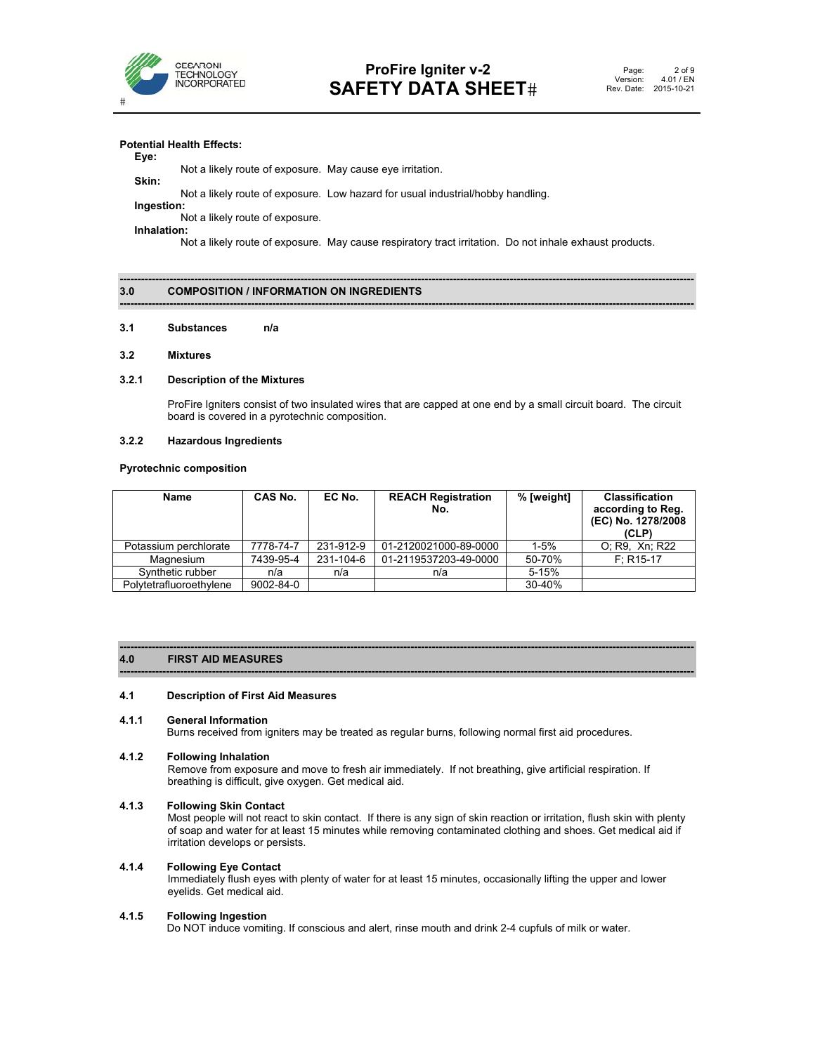

# **Potential Health Effects:**

# **Eye:**

 Not a likely route of exposure. May cause eye irritation. **Skin:** 

Not a likely route of exposure. Low hazard for usual industrial/hobby handling.

 **Ingestion:**  Not a likely route of exposure.

**Inhalation:** 

Not a likely route of exposure. May cause respiratory tract irritation. Do not inhale exhaust products.

**------------------------------------------------------------------------------------------------------------------------------------------------------------------** 

# **------------------------------------------------------------------------------------------------------------------------------------------------------------------ 3.0 COMPOSITION / INFORMATION ON INGREDIENTS**

# **3.1 Substances n/a**

# **3.2 Mixtures**

# **3.2.1 Description of the Mixtures**

ProFire Igniters consist of two insulated wires that are capped at one end by a small circuit board. The circuit board is covered in a pyrotechnic composition.

# **3.2.2 Hazardous Ingredients**

# **Pyrotechnic composition**

| <b>Name</b>             | CAS No.   | EC No.    | <b>REACH Registration</b><br>No. | % [weight] | <b>Classification</b><br>according to Reg.<br>(EC) No. 1278/2008<br>(CLP) |
|-------------------------|-----------|-----------|----------------------------------|------------|---------------------------------------------------------------------------|
| Potassium perchlorate   | 7778-74-7 | 231-912-9 | 01-2120021000-89-0000            | $1 - 5%$   | O; R9, Xn; R22                                                            |
| Magnesium               | 7439-95-4 | 231-104-6 | 01-2119537203-49-0000            | 50-70%     | $F: R15-17$                                                               |
| Synthetic rubber        | n/a       | n/a       | n/a                              | $5 - 15%$  |                                                                           |
| Polytetrafluoroethylene | 9002-84-0 |           |                                  | 30-40%     |                                                                           |

# **------------------------------------------------------------------------------------------------------------------------------------------------------------------ 4.0 FIRST AID MEASURES**

# **4.1 Description of First Aid Measures**

# **4.1.1 General Information**

Burns received from igniters may be treated as regular burns, following normal first aid procedures.

**------------------------------------------------------------------------------------------------------------------------------------------------------------------**

# **4.1.2 Following Inhalation**

Remove from exposure and move to fresh air immediately. If not breathing, give artificial respiration. If breathing is difficult, give oxygen. Get medical aid.

# **4.1.3 Following Skin Contact**

Most people will not react to skin contact. If there is any sign of skin reaction or irritation, flush skin with plenty of soap and water for at least 15 minutes while removing contaminated clothing and shoes. Get medical aid if irritation develops or persists.

# **4.1.4 Following Eye Contact**

Immediately flush eyes with plenty of water for at least 15 minutes, occasionally lifting the upper and lower eyelids. Get medical aid.

# **4.1.5 Following Ingestion**

Do NOT induce vomiting. If conscious and alert, rinse mouth and drink 2-4 cupfuls of milk or water.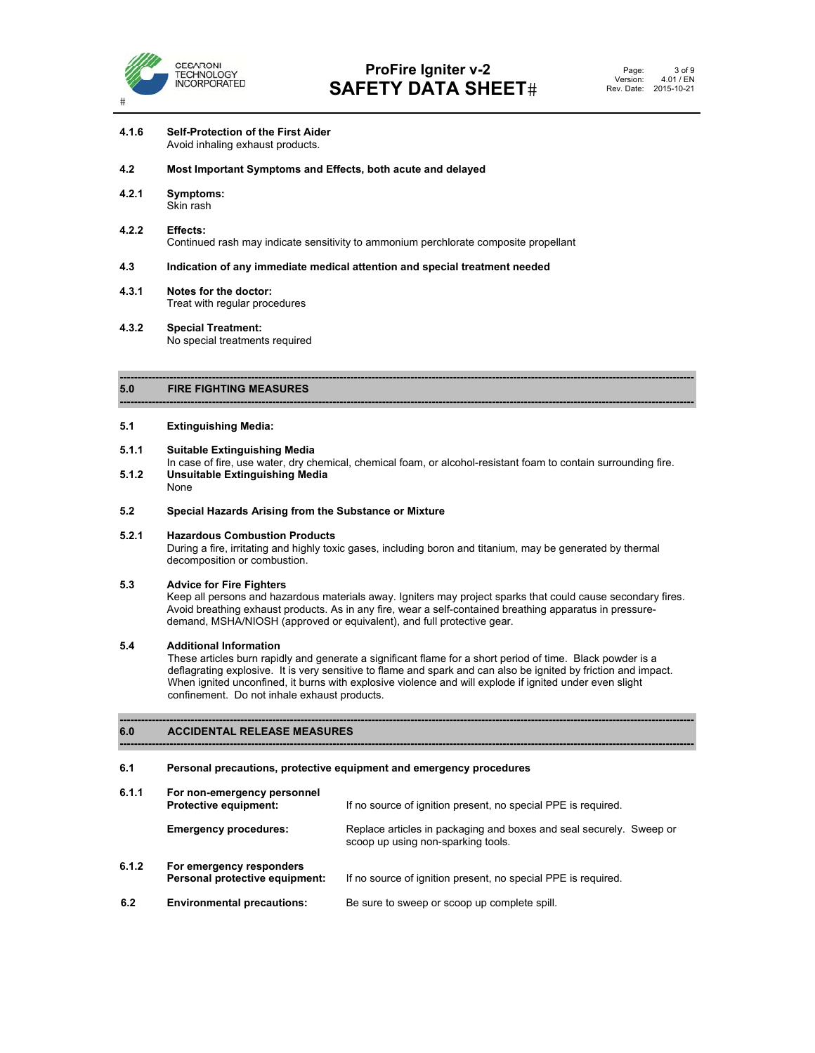

# **4.1.6 Self-Protection of the First Aider**  Avoid inhaling exhaust products.

# **4.2 Most Important Symptoms and Effects, both acute and delayed**

**4.2.1 Symptoms:** Skin rash

# **4.2.2 Effects:**  Continued rash may indicate sensitivity to ammonium perchlorate composite propellant

# **4.3 Indication of any immediate medical attention and special treatment needed**

- **4.3.1 Notes for the doctor:**  Treat with regular procedures
- **4.3.2 Special Treatment:**  No special treatments required

### **------------------------------------------------------------------------------------------------------------------------------------------------------------------ 5.0 FIRE FIGHTING MEASURES**

# **5.1 Extinguishing Media:**

- **5.1.1 Suitable Extinguishing Media**
- In case of fire, use water, dry chemical, chemical foam, or alcohol-resistant foam to contain surrounding fire.<br>5.1.2 Unsuitable Extinguishing Media **5.1.2 Unsuitable Extinguishing Media**

**------------------------------------------------------------------------------------------------------------------------------------------------------------------**

None

# **5.2 Special Hazards Arising from the Substance or Mixture**

# **5.2.1 Hazardous Combustion Products**

During a fire, irritating and highly toxic gases, including boron and titanium, may be generated by thermal decomposition or combustion.

# **5.3 Advice for Fire Fighters**

Keep all persons and hazardous materials away. Igniters may project sparks that could cause secondary fires. Avoid breathing exhaust products. As in any fire, wear a self-contained breathing apparatus in pressuredemand, MSHA/NIOSH (approved or equivalent), and full protective gear.

# **5.4 Additional Information**

These articles burn rapidly and generate a significant flame for a short period of time. Black powder is a deflagrating explosive. It is very sensitive to flame and spark and can also be ignited by friction and impact. When ignited unconfined, it burns with explosive violence and will explode if ignited under even slight confinement. Do not inhale exhaust products.

**------------------------------------------------------------------------------------------------------------------------------------------------------------------** 

**------------------------------------------------------------------------------------------------------------------------------------------------------------------** 

# **6.0 ACCIDENTAL RELEASE MEASURES**

# **6.1 Personal precautions, protective equipment and emergency procedures**

| 6.1.1 | For non-emergency personnel<br><b>Protective equipment:</b> | If no source of ignition present, no special PPE is required.                                             |
|-------|-------------------------------------------------------------|-----------------------------------------------------------------------------------------------------------|
|       | <b>Emergency procedures:</b>                                | Replace articles in packaging and boxes and seal securely. Sweep or<br>scoop up using non-sparking tools. |
| 6.1.2 | For emergency responders<br>Personal protective equipment:  | If no source of ignition present, no special PPE is required.                                             |
| 6.2   | <b>Environmental precautions:</b>                           | Be sure to sweep or scoop up complete spill.                                                              |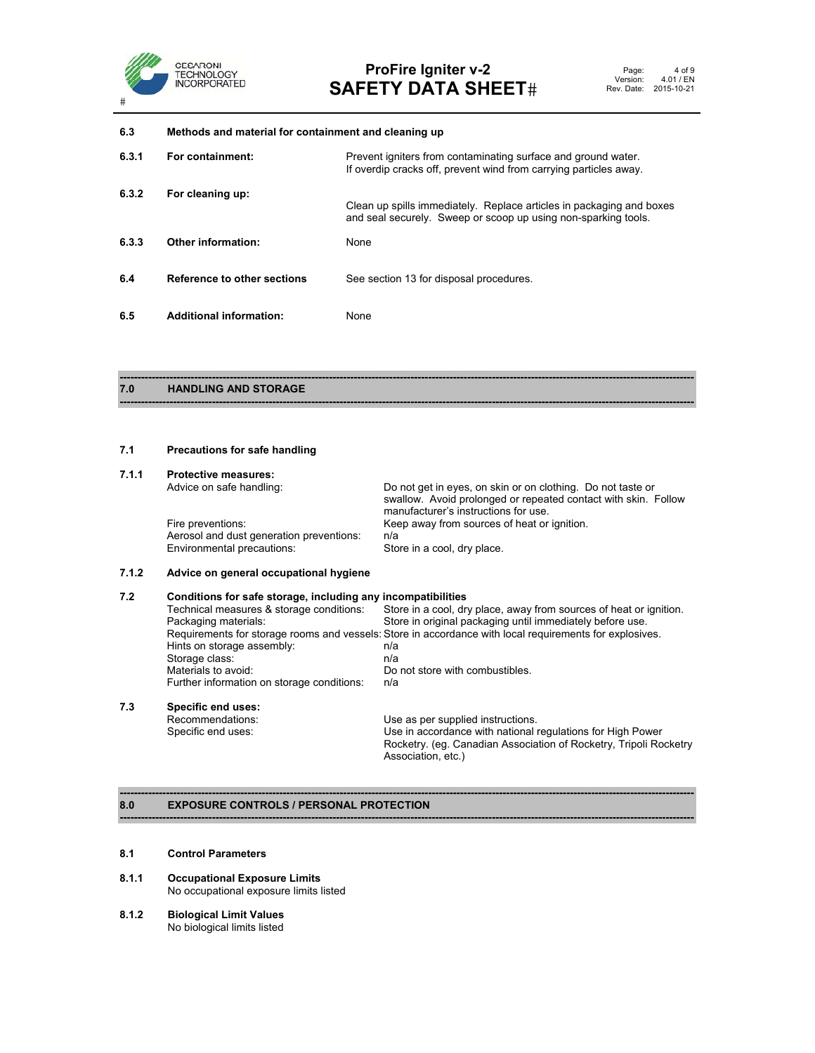

**6.3 Methods and material for containment and cleaning up 6.3.1 For containment:** Prevent igniters from contaminating surface and ground water. If overdip cracks off, prevent wind from carrying particles away. **6.3.2 For cleaning up:**  Clean up spills immediately. Replace articles in packaging and boxes and seal securely. Sweep or scoop up using non-sparking tools. **6.3.3 Other information:** None **6.4 Reference to other sections** See section 13 for disposal procedures. **6.5 Additional information:** None

# **------------------------------------------------------------------------------------------------------------------------------------------------------------------ 7.0 HANDLING AND STORAGE**

# **7.1 Precautions for safe handling**

| 7.1.1 | <b>Protective measures:</b>              |                                                                |
|-------|------------------------------------------|----------------------------------------------------------------|
|       | Advice on safe handling:                 | Do not get in eyes, on skin or on clothing. Do not taste or    |
|       |                                          | swallow. Avoid prolonged or repeated contact with skin. Follow |
|       |                                          | manufacturer's instructions for use.                           |
|       | Fire preventions:                        | Keep away from sources of heat or ignition.                    |
|       | Aerosol and dust generation preventions: | n/a                                                            |
|       | Environmental precautions:               | Store in a cool, dry place.                                    |
|       |                                          |                                                                |

**------------------------------------------------------------------------------------------------------------------------------------------------------------------**

# **7.1.2 Advice on general occupational hygiene**

| 7.2 | Conditions for safe storage, including any incompatibilities                                            |                                                                                         |  |  |
|-----|---------------------------------------------------------------------------------------------------------|-----------------------------------------------------------------------------------------|--|--|
|     | Technical measures & storage conditions:                                                                | Store in a cool, dry place, away from sources of heat or ignition.                      |  |  |
|     | Packaging materials:                                                                                    | Store in original packaging until immediately before use.                               |  |  |
|     | Requirements for storage rooms and vessels: Store in accordance with local requirements for explosives. |                                                                                         |  |  |
|     | Hints on storage assembly:                                                                              | n/a                                                                                     |  |  |
|     | Storage class:                                                                                          | n/a                                                                                     |  |  |
|     | Materials to avoid:                                                                                     | Do not store with combustibles.                                                         |  |  |
|     | Further information on storage conditions:                                                              | n/a                                                                                     |  |  |
| 7.3 | Specific end uses:                                                                                      |                                                                                         |  |  |
|     | Recommendations:                                                                                        | Use as per supplied instructions.                                                       |  |  |
|     | Specific end uses:                                                                                      | Use in accordance with national regulations for High Power                              |  |  |
|     |                                                                                                         | Rocketry. (eg. Canadian Association of Rocketry, Tripoli Rocketry<br>Association, etc.) |  |  |

**------------------------------------------------------------------------------------------------------------------------------------------------------------------** 

# **------------------------------------------------------------------------------------------------------------------------------------------------------------------ 8.0 EXPOSURE CONTROLS / PERSONAL PROTECTION**

# **8.1 Control Parameters**

- **8.1.1 Occupational Exposure Limits**  No occupational exposure limits listed
- **8.1.2 Biological Limit Values**  No biological limits listed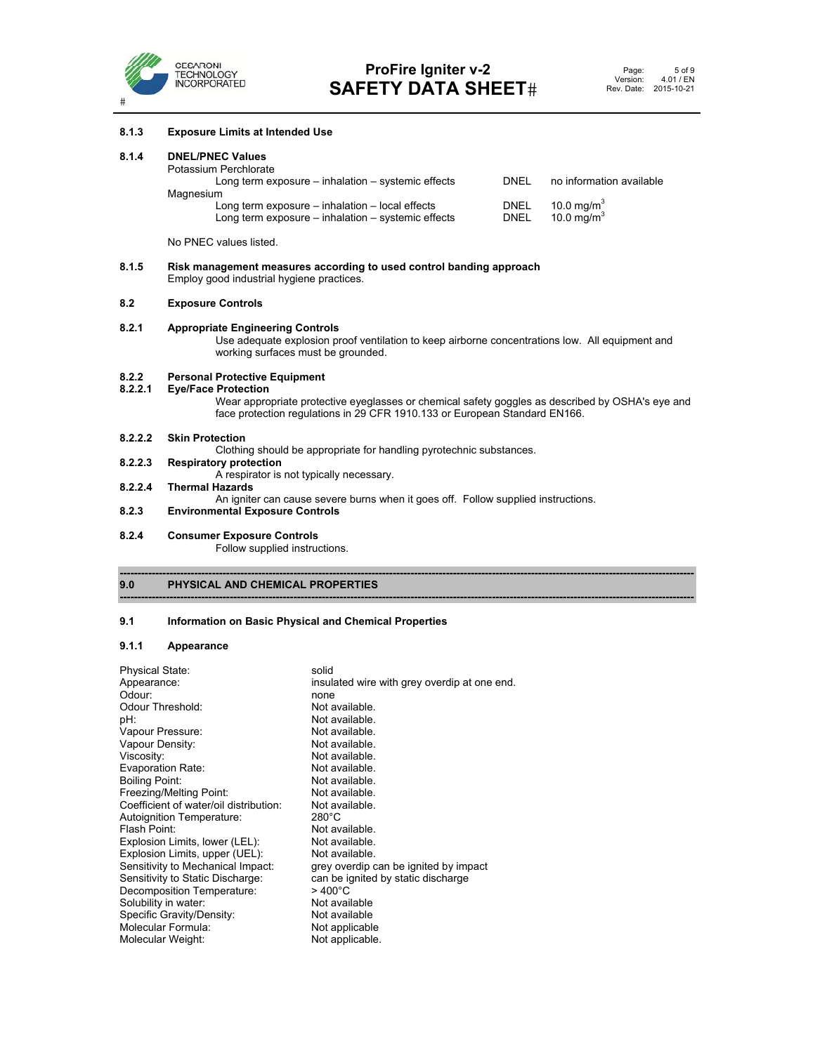

# **8.1.3 Exposure Limits at Intended Use 8.1.4 DNEL/PNEC Values**  Potassium Perchlorate Long term exposure – inhalation – systemic effects DNEL no information available **Magnesium** Long term exposure – inhalation – local effects DNEL 10.0 mg/m<sup>3</sup><br>
Long term exposure – inhalation – systemic effects DNEL 10.0 mg/m<sup>3</sup> Long term exposure – inhalation – systemic effects No PNEC values listed. **8.1.5 Risk management measures according to used control banding approach**  Employ good industrial hygiene practices. **8.2 Exposure Controls 8.2.1 Appropriate Engineering Controls**  Use adequate explosion proof ventilation to keep airborne concentrations low. All equipment and working surfaces must be grounded. **8.2.2 Personal Protective Equipment 8.2.2.1 Eye/Face Protection**  Wear appropriate protective eyeglasses or chemical safety goggles as described by OSHA's eye and face protection regulations in 29 CFR 1910.133 or European Standard EN166. **8.2.2.2 Skin Protection**  Clothing should be appropriate for handling pyrotechnic substances. **8.2.2.3 Respiratory protection**  A respirator is not typically necessary.<br>8.2.2.4 Thermal Hazards **8.2.2.4 Thermal Hazards**  An igniter can cause severe burns when it goes off. Follow supplied instructions. **8.2.3 Environmental Exposure Controls 8.2.4 Consumer Exposure Controls**  Follow supplied instructions.

**------------------------------------------------------------------------------------------------------------------------------------------------------------------** 

### **------------------------------------------------------------------------------------------------------------------------------------------------------------------ 9.0 PHYSICAL AND CHEMICAL PROPERTIES**

# **9.1 Information on Basic Physical and Chemical Properties**

# **9.1.1 Appearance**

| <b>Physical State:</b>                 | solid                                        |
|----------------------------------------|----------------------------------------------|
| Appearance:                            | insulated wire with grey overdip at one end. |
| Odour:                                 | none                                         |
| Odour Threshold:                       | Not available.                               |
| pH:                                    | Not available.                               |
| Vapour Pressure:                       | Not available.                               |
| Vapour Density:                        | Not available.                               |
| Viscosity:                             | Not available.                               |
| Evaporation Rate:                      | Not available.                               |
| <b>Boiling Point:</b>                  | Not available.                               |
| Freezing/Melting Point:                | Not available.                               |
| Coefficient of water/oil distribution: | Not available.                               |
| Autoignition Temperature:              | $280^{\circ}$ C                              |
| Flash Point:                           | Not available.                               |
| Explosion Limits, lower (LEL):         | Not available.                               |
| Explosion Limits, upper (UEL):         | Not available.                               |
| Sensitivity to Mechanical Impact:      | grey overdip can be ignited by impact        |
| Sensitivity to Static Discharge:       | can be ignited by static discharge           |
| Decomposition Temperature:             | $>400^{\circ}$ C                             |
| Solubility in water:                   | Not available                                |
| Specific Gravity/Density:              | Not available                                |
| Molecular Formula:                     | Not applicable                               |
| Molecular Weight:                      | Not applicable.                              |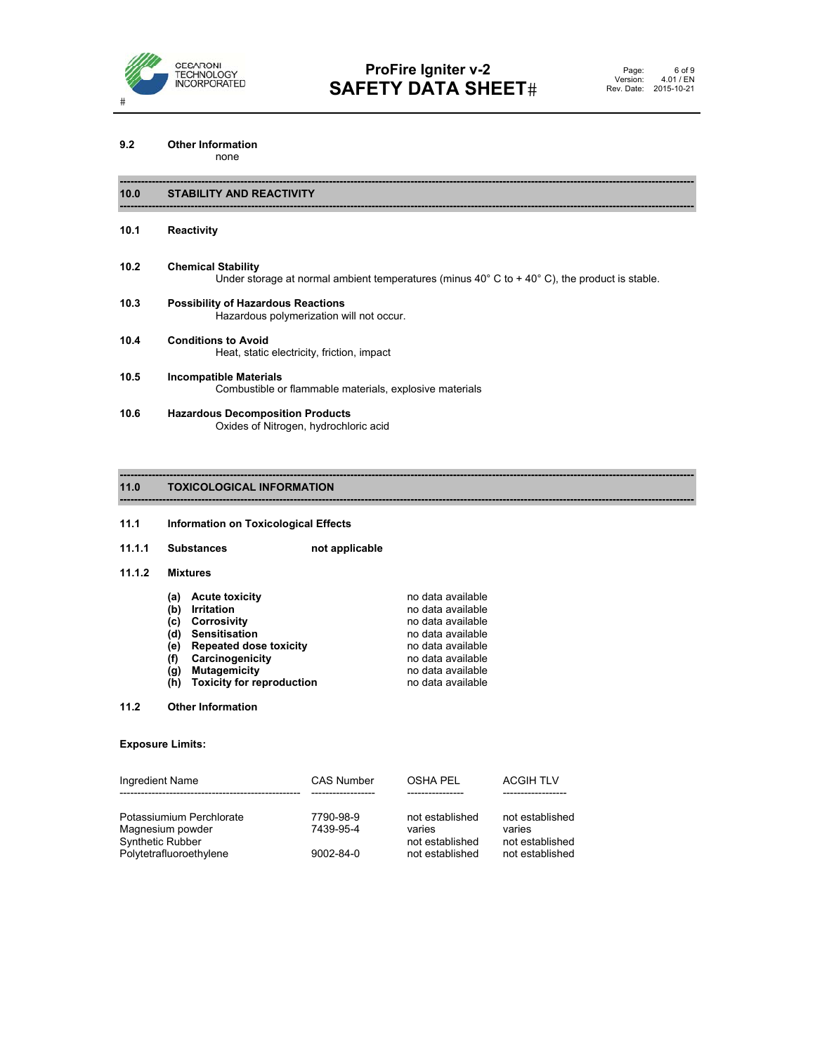

# **9.2 Other Information**

none

# **10.0 STABILITY AND REACTIVITY**

# **10.1 Reactivity**

**10.2 Chemical Stability**  Under storage at normal ambient temperatures (minus 40° C to + 40° C), the product is stable.

**------------------------------------------------------------------------------------------------------------------------------------------------------------------** 

**------------------------------------------------------------------------------------------------------------------------------------------------------------------**

**------------------------------------------------------------------------------------------------------------------------------------------------------------------** 

**------------------------------------------------------------------------------------------------------------------------------------------------------------------**

- **10.3 Possibility of Hazardous Reactions**  Hazardous polymerization will not occur.
- **10.4 Conditions to Avoid**  Heat, static electricity, friction, impact
- **10.5 Incompatible Materials**  Combustible or flammable materials, explosive materials
- **10.6 Hazardous Decomposition Products**  Oxides of Nitrogen, hydrochloric acid

# **11.0 TOXICOLOGICAL INFORMATION**

# **11.1 Information on Toxicological Effects**

11.1.1 Substances not applicable

# **11.1.2 Mixtures**

|     | (a) Acute toxicity            | no data available |
|-----|-------------------------------|-------------------|
|     | (b) Irritation                | no data available |
|     | (c) Corrosivity               | no data available |
|     | (d) Sensitisation             | no data available |
|     | (e) Repeated dose toxicity    | no data available |
| (f) | Carcinogenicity               | no data available |
|     | (g) Mutagemicity              | no data available |
|     | (h) Toxicity for reproduction | no data available |

# **11.2 Other Information**

# **Exposure Limits:**

| Ingredient Name                      | <b>CAS Number</b>      | <b>OSHA PEL</b>           | <b>ACGIH TLV</b>          |
|--------------------------------------|------------------------|---------------------------|---------------------------|
|                                      |                        |                           |                           |
| Potassiumium Perchlorate             | 7790-98-9<br>7439-95-4 | not established           | not established           |
| Magnesium powder<br>Synthetic Rubber |                        | varies<br>not established | varies<br>not established |
| Polytetrafluoroethylene              | 9002-84-0              | not established           | not established           |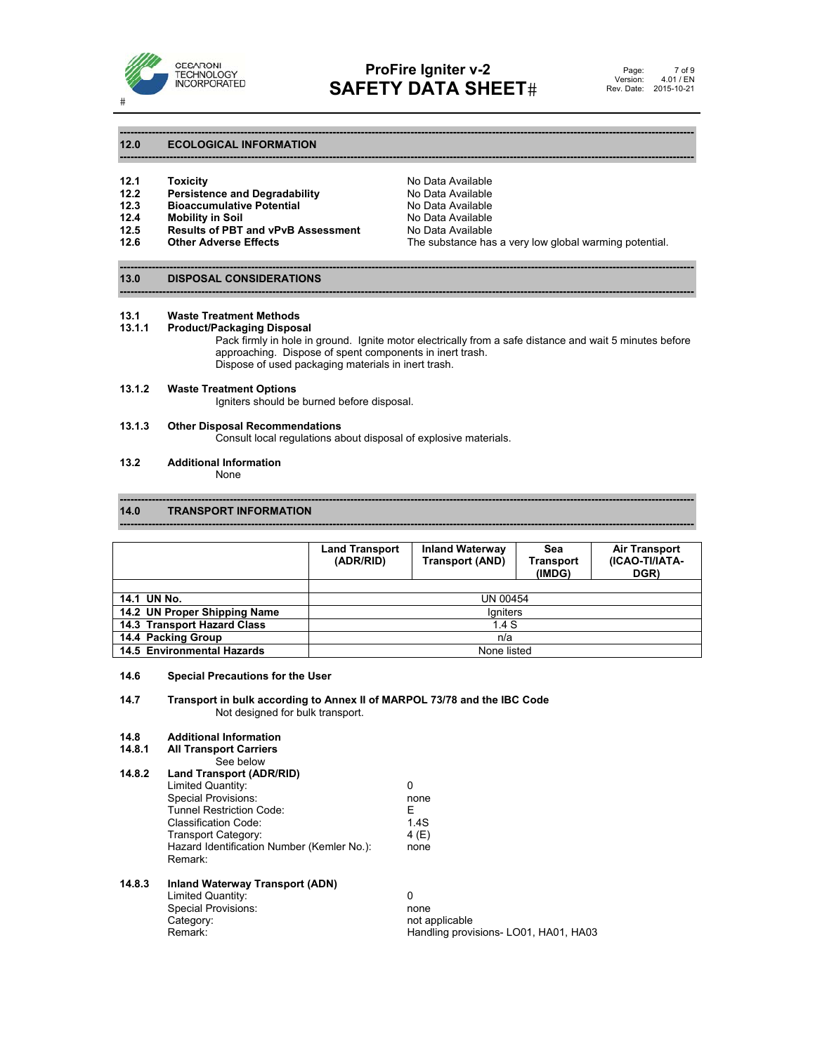

**------------------------------------------------------------------------------------------------------------------------------------------------------------------** 

**------------------------------------------------------------------------------------------------------------------------------------------------------------------** 

**------------------------------------------------------------------------------------------------------------------------------------------------------------------** 

**------------------------------------------------------------------------------------------------------------------------------------------------------------------** 

# **12.0 ECOLOGICAL INFORMATION**

- 
- **12.3** Bioaccumulative Potential<br>**12.4** Mobility in Soil
- 
- **12.5 Results of PBT and vPvB Assessment** No Data Available<br>**12.6 Other Adverse Effects** The substance has
- 

**12.1 Toxicity** No Data Available **12.2 Persistence and Degradability 12.2 Persistence and Degradability No Data Available Bioaccumulative Potential No Data Available** The substance has a very low global warming potential.

# **13.0 DISPOSAL CONSIDERATIONS**

# **13.1 Waste Treatment Methods**

# **13.1.1 Product/Packaging Disposal**

Pack firmly in hole in ground. Ignite motor electrically from a safe distance and wait 5 minutes before approaching. Dispose of spent components in inert trash. Dispose of used packaging materials in inert trash.

# **13.1.2 Waste Treatment Options**

Igniters should be burned before disposal.

# **13.1.3 Other Disposal Recommendations**

Consult local regulations about disposal of explosive materials.

# **13.2 Additional Information**

None

# **14.0 TRANSPORT INFORMATION**

|                              | <b>Land Transport</b><br>(ADR/RID) | <b>Inland Waterway</b><br><b>Transport (AND)</b> | Sea<br>Transport<br>(IMDG) | <b>Air Transport</b><br>(ICAO-TI/IATA-<br>DGR) |
|------------------------------|------------------------------------|--------------------------------------------------|----------------------------|------------------------------------------------|
|                              |                                    |                                                  |                            |                                                |
| 14.1 UN No.                  | UN 00454                           |                                                  |                            |                                                |
| 14.2 UN Proper Shipping Name | laniters                           |                                                  |                            |                                                |
| 14.3 Transport Hazard Class  | 1.4S                               |                                                  |                            |                                                |
| 14.4 Packing Group           | n/a                                |                                                  |                            |                                                |
| 14.5 Environmental Hazards   |                                    | None listed                                      |                            |                                                |

**------------------------------------------------------------------------------------------------------------------------------------------------------------------** 

**------------------------------------------------------------------------------------------------------------------------------------------------------------------**

# **14.6 Special Precautions for the User**

# **14.7 Transport in bulk according to Annex II of MARPOL 73/78 and the IBC Code** Not designed for bulk transport.

| 14.8   | <b>Additional Information</b>              |                                       |
|--------|--------------------------------------------|---------------------------------------|
| 14.8.1 | <b>All Transport Carriers</b>              |                                       |
|        | See below                                  |                                       |
| 14.8.2 | Land Transport (ADR/RID)                   |                                       |
|        | Limited Quantity:                          | 0                                     |
|        | Special Provisions:                        | none                                  |
|        | <b>Tunnel Restriction Code:</b>            | Е                                     |
|        | <b>Classification Code:</b>                | 1.4S                                  |
|        | Transport Category:                        | 4 (E)                                 |
|        | Hazard Identification Number (Kemler No.): | none                                  |
|        | Remark:                                    |                                       |
| 14.8.3 | Inland Waterway Transport (ADN)            |                                       |
|        | Limited Quantity:                          | 0                                     |
|        | Special Provisions:                        | none                                  |
|        | Category:                                  | not applicable                        |
|        | Remark:                                    | Handling provisions- LO01, HA01, HA03 |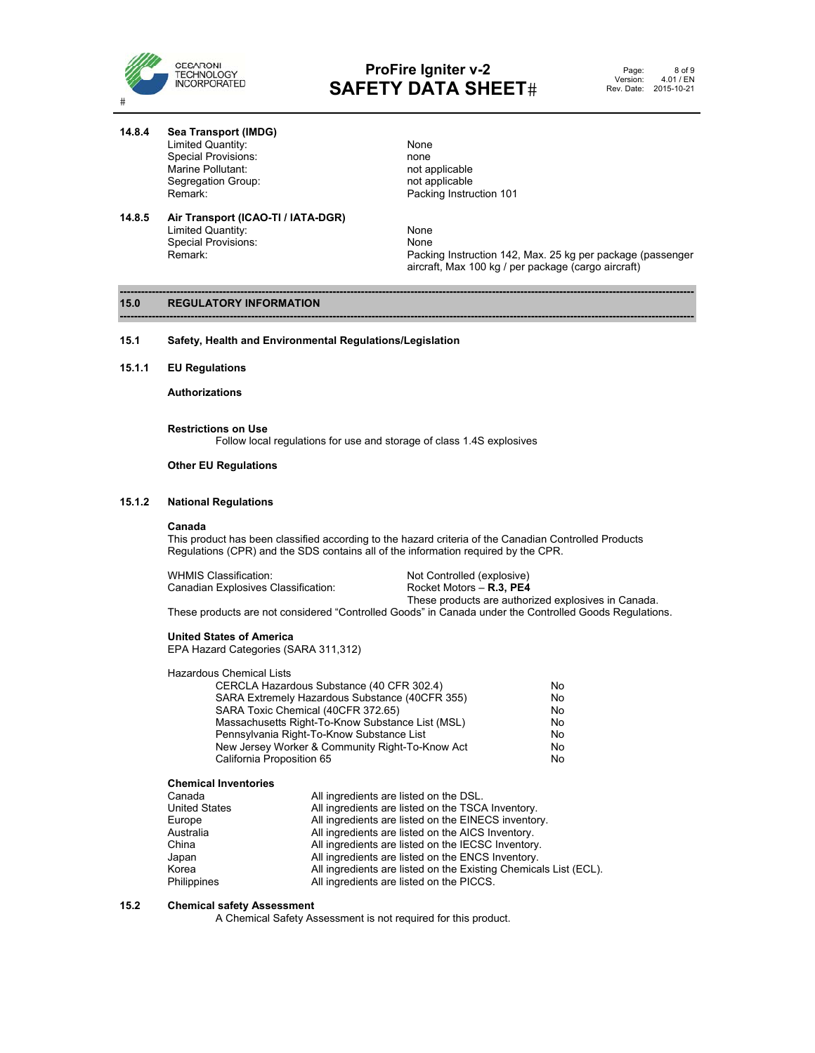

**14.8.4 Sea Transport (IMDG)** 

 Limited Quantity: None Special Provisions: none in the second provisions of the second provision of applicable in the Marine of the M<br>Marine Pollutant: none in the marine of the Marine of the Marine of the Marine of the Marine of the Marine of Marine Pollutant: not applicable<br>
Segregation Group: not applicable<br>
not applicable Segregation Group:

**14.8.5 Air Transport (ICAO-TI / IATA-DGR)** 

# Remark: Remark: Packing Instruction 101

Limited Quantity: None<br>
Special Provisions: None<br>
None Packing Instruction 142, Max. 25 kg per package (passenger aircraft, Max 100 kg / per package (cargo aircraft)

## **------------------------------------------------------------------------------------------------------------------------------------------------------------------ 15.0 REGULATORY INFORMATION**

Special Provisions:<br>Remark:

- **15.1 Safety, Health and Environmental Regulations/Legislation**
- **15.1.1 EU Regulations**

 **Authorizations** 

**Restrictions on Use**  Follow local regulations for use and storage of class 1.4S explosives

# **Other EU Regulations**

# **15.1.2 National Regulations**

# **Canada**

This product has been classified according to the hazard criteria of the Canadian Controlled Products Regulations (CPR) and the SDS contains all of the information required by the CPR.

**------------------------------------------------------------------------------------------------------------------------------------------------------------------**

| WHMIS Classification:               | Not Controlled (explosive)                          |
|-------------------------------------|-----------------------------------------------------|
| Canadian Explosives Classification: | Rocket Motors – <b>R.3, PE4</b>                     |
|                                     | These products are authorized explosives in Canada. |

These products are not considered "Controlled Goods" in Canada under the Controlled Goods Regulations.

# **United States of America**

EPA Hazard Categories (SARA 311,312)

Hazardous Chemical Lists

| CERCLA Hazardous Substance (40 CFR 302.4)        | No |
|--------------------------------------------------|----|
| SARA Extremely Hazardous Substance (40CFR 355)   | No |
| SARA Toxic Chemical (40CFR 372.65)               | No |
| Massachusetts Right-To-Know Substance List (MSL) | No |
| Pennsylvania Right-To-Know Substance List        | No |
| New Jersey Worker & Community Right-To-Know Act  | No |
| California Proposition 65                        | No |

# **Chemical Inventories**

| Canada               | All ingredients are listed on the DSL.                           |
|----------------------|------------------------------------------------------------------|
| <b>United States</b> | All ingredients are listed on the TSCA Inventory.                |
| Europe               | All ingredients are listed on the EINECS inventory.              |
| Australia            | All ingredients are listed on the AICS Inventory.                |
| China                | All ingredients are listed on the IECSC Inventory.               |
| Japan                | All ingredients are listed on the ENCS Inventory.                |
| Korea                | All ingredients are listed on the Existing Chemicals List (ECL). |
| Philippines          | All ingredients are listed on the PICCS.                         |

# **15.2 Chemical safety Assessment**

A Chemical Safety Assessment is not required for this product.